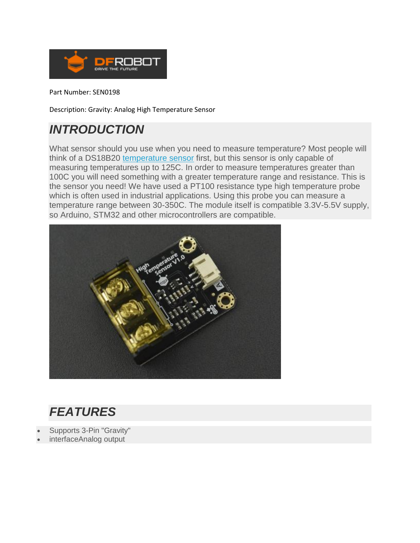

Part Number: SEN0198

Description: Gravity: Analog High Temperature Sensor

#### *INTRODUCTION*

What sensor should you use when you need to measure temperature? Most people will think of a DS18B20 [temperature sensor](https://www.dfrobot.com/index.php?route=product/category&path=156_36_64) first, but this sensor is only capable of measuring temperatures up to 125C. In order to measure temperatures greater than 100C you will need something with a greater temperature range and resistance. This is the sensor you need! We have used a PT100 resistance type high temperature probe which is often used in industrial applications. Using this probe you can measure a temperature range between 30-350C. The module itself is compatible 3.3V-5.5V supply, so Arduino, STM32 and other microcontrollers are compatible.



# *FEATURES*

- Supports 3-Pin "Gravity"
- interfaceAnalog output